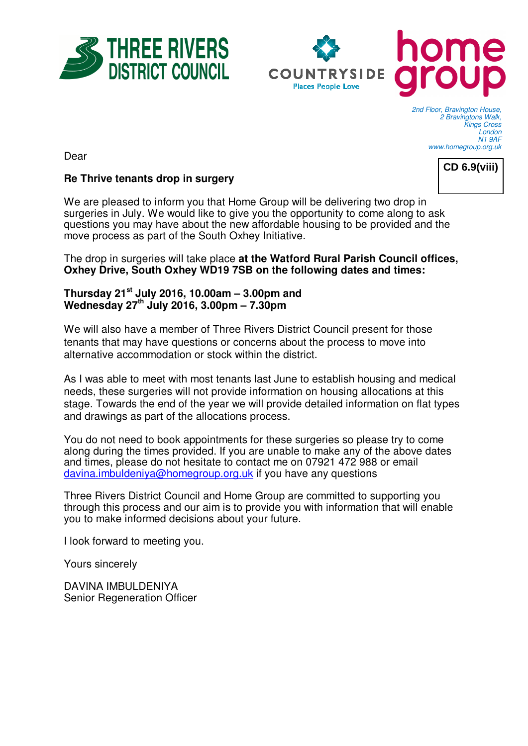



2nd Floor, Bravington House, 2 Bravingtons Walk, Kings Cross London N1 9AF www.homegroup.org.uk

Dear



## **Re Thrive tenants drop in surgery**

We are pleased to inform you that Home Group will be delivering two drop in surgeries in July. We would like to give you the opportunity to come along to ask questions you may have about the new affordable housing to be provided and the move process as part of the South Oxhey Initiative.

The drop in surgeries will take place **at the Watford Rural Parish Council offices, Oxhey Drive, South Oxhey WD19 7SB on the following dates and times:** 

## **Thursday 21st July 2016, 10.00am – 3.00pm and Wednesday 27th July 2016, 3.00pm – 7.30pm**

We will also have a member of Three Rivers District Council present for those tenants that may have questions or concerns about the process to move into alternative accommodation or stock within the district.

As I was able to meet with most tenants last June to establish housing and medical needs, these surgeries will not provide information on housing allocations at this stage. Towards the end of the year we will provide detailed information on flat types and drawings as part of the allocations process.

You do not need to book appointments for these surgeries so please try to come along during the times provided. If you are unable to make any of the above dates and times, please do not hesitate to contact me on 07921 472 988 or email davina.imbuldeniya@homegroup.org.uk if you have any questions

Three Rivers District Council and Home Group are committed to supporting you through this process and our aim is to provide you with information that will enable you to make informed decisions about your future.

I look forward to meeting you.

Yours sincerely

DAVINA IMBULDENIYA Senior Regeneration Officer